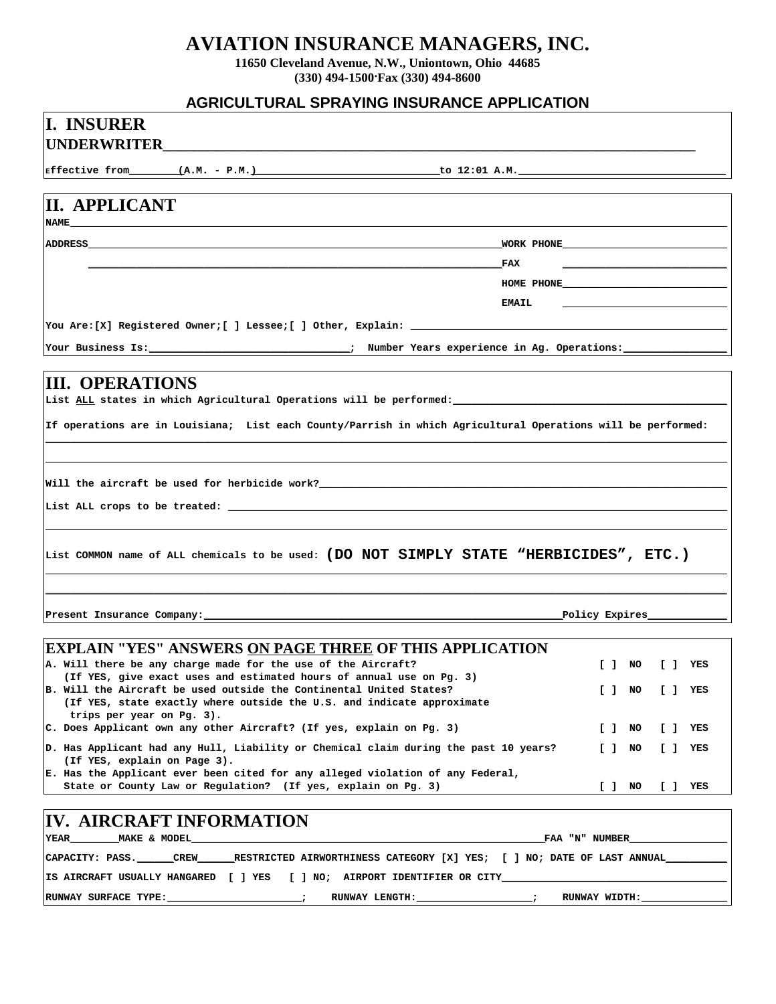## **AVIATION INSURANCE MANAGERS, INC.**

**11650 Cleveland Avenue, N.W., Uniontown, Ohio 44685 (330) 494-1500. Fax (330) 494-8600**

#### **AGRICULTURAL SPRAYING INSURANCE APPLICATION**

| AUNIUULI UNAL UI NATINU INUUNANUL AIT LIUATIUN                                                                                                                                                         |                                       |     |           |
|--------------------------------------------------------------------------------------------------------------------------------------------------------------------------------------------------------|---------------------------------------|-----|-----------|
| <b>II. INSURER</b>                                                                                                                                                                                     |                                       |     |           |
|                                                                                                                                                                                                        |                                       |     |           |
|                                                                                                                                                                                                        |                                       |     |           |
|                                                                                                                                                                                                        |                                       |     |           |
| II. APPLICANT<br><b>NAME</b>                                                                                                                                                                           |                                       |     |           |
|                                                                                                                                                                                                        |                                       |     |           |
| $_{\rm{FAX}}$                                                                                                                                                                                          |                                       |     |           |
| <b>EMAIL</b>                                                                                                                                                                                           | HOME PHONE                            |     |           |
| You Are:[X] Registered Owner;[ ] Lessee;[ ] Other, Explain: ____________                                                                                                                               |                                       |     |           |
|                                                                                                                                                                                                        |                                       |     |           |
|                                                                                                                                                                                                        |                                       |     |           |
| <b>III. OPERATIONS</b><br>List ALL states in which Agricultural Operations will be performed:                                                                                                          |                                       |     |           |
| If operations are in Louisiana; List each County/Parrish in which Agricultural Operations will be performed:                                                                                           |                                       |     |           |
| Will the aircraft be used for herbicide work?___________________________________                                                                                                                       |                                       |     |           |
|                                                                                                                                                                                                        |                                       |     |           |
| List COMMON name of ALL chemicals to be used: (DO NOT SIMPLY STATE "HERBICIDES", ETC.)                                                                                                                 |                                       |     |           |
| Present Insurance Company:                                                                                                                                                                             | _Policy Expires_                      |     |           |
| <b> EXPLAIN "YES" ANSWERS <u>ON PAGE THREE</u> OF THIS APPLICATION</b>                                                                                                                                 |                                       |     |           |
| A. Will there be any charge made for the use of the Aircraft?                                                                                                                                          | $[ ]$ NO                              | L 1 | YES       |
| (If YES, give exact uses and estimated hours of annual use on Pg. 3)<br>B. Will the Aircraft be used outside the Continental United States?                                                            | $\begin{bmatrix} 1 & 1 \end{bmatrix}$ |     | $[ ]$ YES |
| (If YES, state exactly where outside the U.S. and indicate approximate<br>trips per year on Pg. 3).                                                                                                    |                                       |     |           |
| C. Does Applicant own any other Aircraft? (If yes, explain on Pg. 3)                                                                                                                                   | $[ ]$ NO                              |     | $[ ]$ YES |
| D. Has Applicant had any Hull, Liability or Chemical claim during the past 10 years?<br>(If YES, explain on Page 3).<br>E. Has the Applicant ever been cited for any alleged violation of any Federal, | $[$ $]$ NO                            |     | $[ ]$ YES |
| State or County Law or Regulation? (If yes, explain on Pg. 3)                                                                                                                                          | [ ] NO                                |     | [] YES    |
| <b>IV. AIRCRAFT INFORMATION</b>                                                                                                                                                                        |                                       |     |           |
| MAKE & MODEL<br><b>YEAR</b>                                                                                                                                                                            | _FAA "N" NUMBER_                      |     |           |
| CAPACITY: PASS. _______CREW________RESTRICTED AIRWORTHINESS CATEGORY [X] YES; [ ] NO; DATE OF LAST ANNUAL_____                                                                                         |                                       |     |           |
| IS AIRCRAFT USUALLY HANGARED [ ] YES [ ] NO; AIRPORT IDENTIFIER OR CITY_                                                                                                                               |                                       |     |           |

RUNWAY SURFACE TYPE:\_\_\_\_\_\_\_\_\_\_\_\_\_\_\_\_\_\_\_\_\_\_; RUNWAY LENGTH:\_\_\_\_\_\_\_\_\_\_\_\_\_\_\_\_\_\_; RUNWAY WIDTH:\_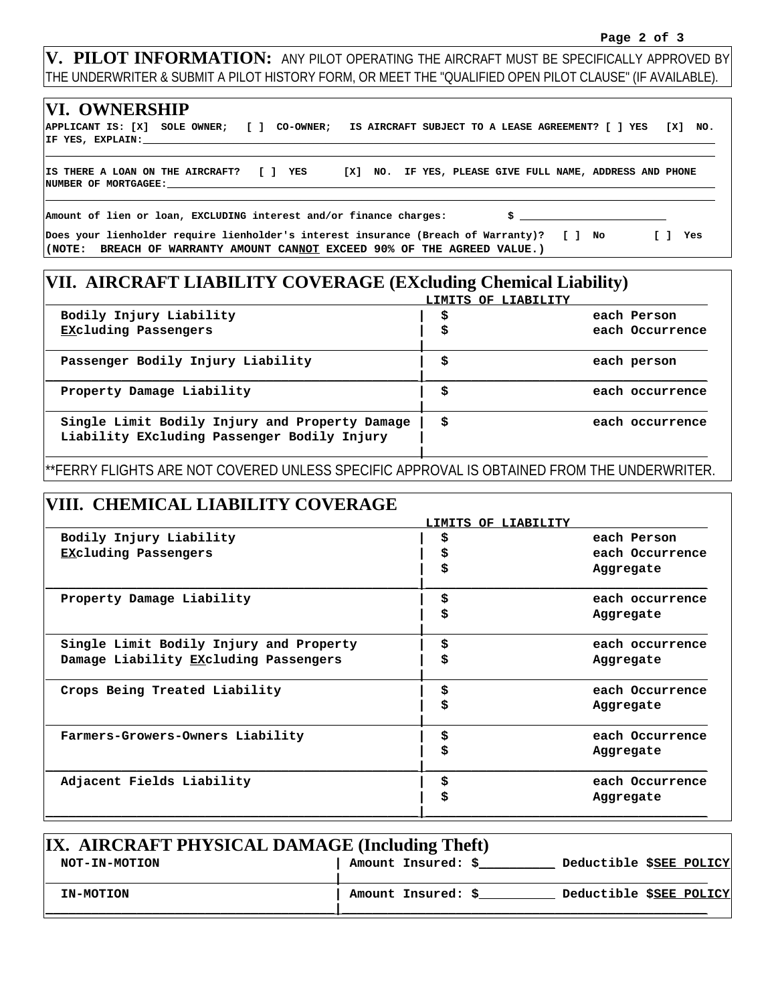**V. PILOT INFORMATION:** ANY PILOT OPERATING THE AIRCRAFT MUST BE SPECIFICALLY APPROVED BY THE UNDERWRITER & SUBMIT A PILOT HISTORY FORM, OR MEET THE "QUALIFIED OPEN PILOT CLAUSE" (IF AVAILABLE).

| <b>VI. OWNERSHIP</b>                                                                                                                                                   |  |  |                                                                                                                                                                                                                                    |     |
|------------------------------------------------------------------------------------------------------------------------------------------------------------------------|--|--|------------------------------------------------------------------------------------------------------------------------------------------------------------------------------------------------------------------------------------|-----|
| APPLICANT IS: [X] SOLE OWNER; [ ] CO-OWNER; IS AIRCRAFT SUBJECT TO A LEASE AGREEMENT? [ ] YES [X] NO.                                                                  |  |  |                                                                                                                                                                                                                                    |     |
| IS THERE A LOAN ON THE AIRCRAFT? [ ] YES [X] NO. IF YES, PLEASE GIVE FULL NAME, ADDRESS AND PHONE<br>NUMBER OF MORTGAGEE:                                              |  |  |                                                                                                                                                                                                                                    |     |
| Amount of lien or loan, EXCLUDING interest and/or finance charges:                                                                                                     |  |  | $\mathbf{s}$ , and the set of the set of the set of the set of the set of the set of the set of the set of the set of the set of the set of the set of the set of the set of the set of the set of the set of the set of the set o |     |
| Does your lienholder require lienholder's interest insurance (Breach of Warranty)? [ ] No<br>((NOTE: BREACH OF WARRANTY AMOUNT CANNOT EXCEED 90% OF THE AGREED VALUE.) |  |  |                                                                                                                                                                                                                                    | Yes |

# **VII. AIRCRAFT LIABILITY COVERAGE (EXcluding Chemical Liability)**

|                                                                                               | LIMITS OF LIABILITY |                 |
|-----------------------------------------------------------------------------------------------|---------------------|-----------------|
| Bodily Injury Liability                                                                       | \$                  | each Person     |
| <b>EXcluding Passengers</b>                                                                   | \$                  | each Occurrence |
| Passenger Bodily Injury Liability                                                             | \$                  | each person     |
| Property Damage Liability                                                                     | \$                  | each occurrence |
| Single Limit Bodily Injury and Property Damage<br>Liability EXcluding Passenger Bodily Injury | \$                  | each occurrence |

\*\*FERRY FLIGHTS ARE NOT COVERED UNLESS SPECIFIC APPROVAL IS OBTAINED FROM THE UNDERWRITER.

## **VIII. CHEMICAL LIABILITY COVERAGE**

|                                         | LIMITS OF LIABILITY |                 |
|-----------------------------------------|---------------------|-----------------|
| Bodily Injury Liability                 | \$                  | each Person     |
| <b>EXcluding Passengers</b>             | \$                  | each Occurrence |
|                                         | \$                  | Aggregate       |
| Property Damage Liability               | \$                  | each occurrence |
|                                         | \$                  | Aggregate       |
| Single Limit Bodily Injury and Property | \$                  | each occurrence |
| Damage Liability EXcluding Passengers   | \$                  | Aggregate       |
| Crops Being Treated Liability           | \$                  | each Occurrence |
|                                         | \$                  | Aggregate       |
| Farmers-Growers-Owners Liability        | \$                  | each Occurrence |
|                                         | \$                  | Aggregate       |
| Adjacent Fields Liability               | \$                  | each Occurrence |
|                                         | \$                  | Aggregate       |
|                                         |                     |                 |

| IX. AIRCRAFT PHYSICAL DAMAGE (Including Theft) |                    |                         |  |  |  |  |
|------------------------------------------------|--------------------|-------------------------|--|--|--|--|
| NOT-IN-MOTION                                  | Amount Insured: \$ | Deductible \$SEE POLICY |  |  |  |  |
| <b>IN-MOTION</b>                               | Amount Insured: \$ | Deductible \$SEE POLICY |  |  |  |  |